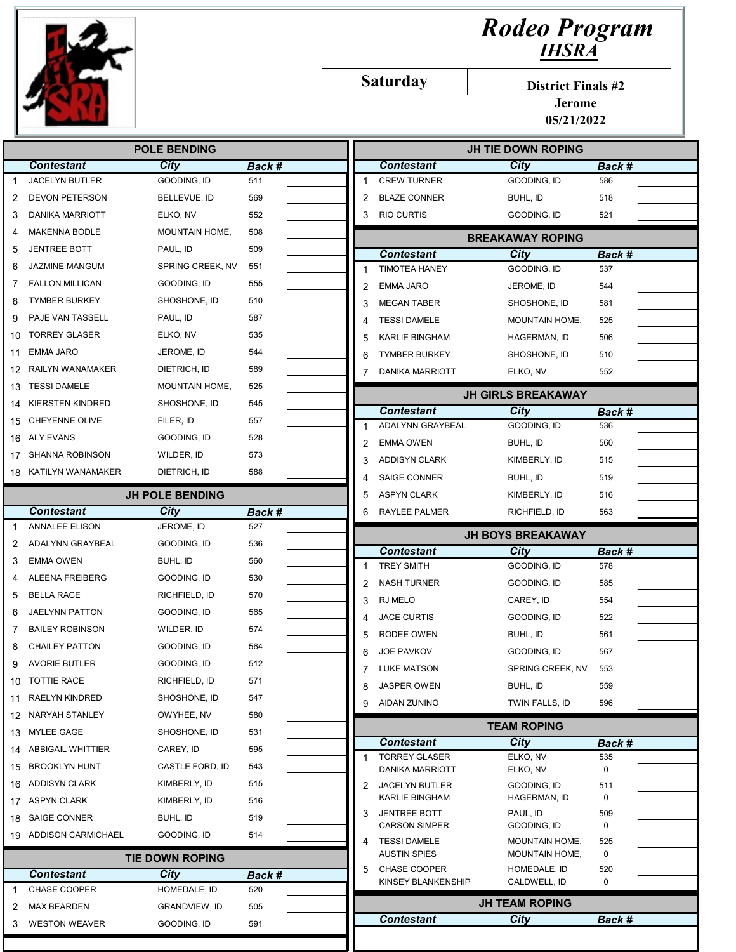

## Rodeo Program IHSRA

Saturday

District Finals #2

Jerome 05/21/2022

| <b>Contestant</b><br>City<br><b>Contestant</b><br><b>City</b><br>Back #<br>Back #<br><b>JACELYN BUTLER</b><br>GOODING, ID<br><b>CREW TURNER</b><br>GOODING, ID<br>511<br>586<br>1<br><b>BLAZE CONNER</b><br><b>DEVON PETERSON</b><br>BELLEVUE, ID<br>569<br>BUHL, ID<br>518<br>2<br>2<br>552<br><b>RIO CURTIS</b><br>521<br><b>DANIKA MARRIOTT</b><br>ELKO, NV<br>3<br>GOODING, ID<br>3<br><b>MAKENNA BODLE</b><br>MOUNTAIN HOME,<br>508<br>4<br><b>BREAKAWAY ROPING</b><br><b>JENTREE BOTT</b><br>PAUL, ID<br>509<br>5<br><b>Contestant</b><br>City<br>Back #<br><b>JAZMINE MANGUM</b><br>SPRING CREEK, NV<br>551<br>6<br><b>TIMOTEA HANEY</b><br>GOODING, ID<br>537<br>1<br><b>FALLON MILLICAN</b><br>GOODING, ID<br>555<br>7<br>544<br><b>EMMA JARO</b><br>JEROME, ID<br>$\overline{2}$<br><b>TYMBER BURKEY</b><br>SHOSHONE, ID<br>510<br>8<br><b>MEGAN TABER</b><br>581<br>3<br>SHOSHONE, ID<br>PAJE VAN TASSELL<br>PAUL, ID<br>587<br>9<br><b>TESSI DAMELE</b><br><b>MOUNTAIN HOME,</b><br>525<br>4<br><b>TORREY GLASER</b><br>ELKO, NV<br>535<br>10<br>5<br>KARLIE BINGHAM<br>HAGERMAN, ID<br>506<br>544<br><b>EMMA JARO</b><br>JEROME, ID<br>11<br><b>TYMBER BURKEY</b><br>6<br>SHOSHONE, ID<br>510<br>RAILYN WANAMAKER<br>DIETRICH, ID<br>589<br>12<br><b>DANIKA MARRIOTT</b><br>ELKO, NV<br>552<br>7<br><b>TESSI DAMELE</b><br>MOUNTAIN HOME,<br>525<br>13<br><b>JH GIRLS BREAKAWAY</b><br><b>KIERSTEN KINDRED</b><br>SHOSHONE, ID<br>545<br>14<br><b>Contestant</b><br><b>City</b><br>Back #<br><b>CHEYENNE OLIVE</b><br>FILER, ID<br>557<br>15<br>ADALYNN GRAYBEAL<br>GOODING, ID<br>536<br>1<br><b>ALY EVANS</b><br>GOODING, ID<br>528<br>16<br>2<br><b>EMMA OWEN</b><br>BUHL, ID<br>560<br>SHANNA ROBINSON<br>WILDER, ID<br>573<br>17<br><b>ADDISYN CLARK</b><br>KIMBERLY, ID<br>515<br>3<br>KATILYN WANAMAKER<br>DIETRICH, ID<br>588<br>18<br><b>SAIGE CONNER</b><br>BUHL, ID<br>519<br>4<br><b>JH POLE BENDING</b><br><b>ASPYN CLARK</b><br>KIMBERLY, ID<br>516<br>5<br><b>Contestant</b><br><b>City</b><br>Back #<br>RAYLEE PALMER<br>RICHFIELD, ID<br>563<br>6<br><b>ANNALEE ELISON</b><br>JEROME, ID<br>527<br><b>JH BOYS BREAKAWAY</b><br>ADALYNN GRAYBEAL<br>GOODING, ID<br>536<br>2<br><b>City</b><br><b>Contestant</b><br>Back #<br><b>EMMA OWEN</b><br>BUHL, ID<br>560<br>3<br><b>TREY SMITH</b><br>GOODING, ID<br>578<br>1<br>ALEENA FREIBERG<br>GOODING, ID<br>530<br><b>NASH TURNER</b><br>GOODING, ID<br>585<br>2<br><b>BELLA RACE</b><br>RICHFIELD, ID<br>570<br>5<br>3<br>RJ MELO<br>CAREY, ID<br>554<br>JAELYNN PATTON<br>GOODING, ID<br>565<br>6<br><b>JACE CURTIS</b><br>GOODING, ID<br>522<br>4<br><b>BAILEY ROBINSON</b><br>WILDER, ID<br>574<br>7<br>RODEE OWEN<br>BUHL, ID<br>561<br>5<br><b>CHAILEY PATTON</b><br>GOODING, ID<br>564<br>8<br><b>JOE PAVKOV</b><br>GOODING, ID<br>567<br>6<br>512<br><b>AVORIE BUTLER</b><br>GOODING, ID<br>9<br><b>LUKE MATSON</b><br>SPRING CREEK, NV<br>553<br>571<br>10 TOTTIE RACE<br>RICHFIELD, ID<br>8<br><b>JASPER OWEN</b><br>BUHL, ID<br>559<br>547<br><b>RAELYN KINDRED</b><br>SHOSHONE, ID<br>11<br><b>AIDAN ZUNINO</b><br>TWIN FALLS, ID<br>596<br>9<br>12 NARYAH STANLEY<br>OWYHEE, NV<br>580<br><b>TEAM ROPING</b><br>MYLEE GAGE<br>SHOSHONE, ID<br>531<br>13<br><b>City</b><br><b>Contestant</b><br>Back #<br>14 ABBIGAIL WHITTIER<br>CAREY, ID<br>595<br><b>TORREY GLASER</b><br>ELKO, NV<br>535<br>1<br>15 BROOKLYN HUNT<br>CASTLE FORD, ID<br>543<br>0<br><b>DANIKA MARRIOTT</b><br>ELKO, NV<br><b>ADDISYN CLARK</b><br>KIMBERLY, ID<br>515<br>16<br><b>JACELYN BUTLER</b><br>GOODING, ID<br>511<br>2<br>KARLIE BINGHAM<br>HAGERMAN, ID<br>0<br>17 ASPYN CLARK<br>KIMBERLY, ID<br>516<br><b>JENTREE BOTT</b><br>PAUL, ID<br>509<br>3<br><b>SAIGE CONNER</b><br>BUHL, ID<br>519<br>18<br><b>CARSON SIMPER</b><br>GOODING, ID<br>0<br>19 ADDISON CARMICHAEL<br>GOODING, ID<br>514<br><b>TESSI DAMELE</b><br>MOUNTAIN HOME,<br>525<br>4<br><b>AUSTIN SPIES</b><br>0<br><b>MOUNTAIN HOME,</b><br><b>TIE DOWN ROPING</b><br>CHASE COOPER<br>HOMEDALE, ID<br>520<br>5<br><b>Contestant</b><br>City<br>Back #<br>KINSEY BLANKENSHIP<br>CALDWELL, ID<br>0<br>CHASE COOPER<br>HOMEDALE, ID<br>520<br><b>JH TEAM ROPING</b><br><b>MAX BEARDEN</b><br>GRANDVIEW, ID<br>505<br>2<br><b>City</b><br><b>Contestant</b><br>Back #<br><b>WESTON WEAVER</b><br>GOODING, ID<br>591<br>3 | <b>POLE BENDING</b> |  |  |  | <b>JH TIE DOWN ROPING</b> |  |  |  |
|--------------------------------------------------------------------------------------------------------------------------------------------------------------------------------------------------------------------------------------------------------------------------------------------------------------------------------------------------------------------------------------------------------------------------------------------------------------------------------------------------------------------------------------------------------------------------------------------------------------------------------------------------------------------------------------------------------------------------------------------------------------------------------------------------------------------------------------------------------------------------------------------------------------------------------------------------------------------------------------------------------------------------------------------------------------------------------------------------------------------------------------------------------------------------------------------------------------------------------------------------------------------------------------------------------------------------------------------------------------------------------------------------------------------------------------------------------------------------------------------------------------------------------------------------------------------------------------------------------------------------------------------------------------------------------------------------------------------------------------------------------------------------------------------------------------------------------------------------------------------------------------------------------------------------------------------------------------------------------------------------------------------------------------------------------------------------------------------------------------------------------------------------------------------------------------------------------------------------------------------------------------------------------------------------------------------------------------------------------------------------------------------------------------------------------------------------------------------------------------------------------------------------------------------------------------------------------------------------------------------------------------------------------------------------------------------------------------------------------------------------------------------------------------------------------------------------------------------------------------------------------------------------------------------------------------------------------------------------------------------------------------------------------------------------------------------------------------------------------------------------------------------------------------------------------------------------------------------------------------------------------------------------------------------------------------------------------------------------------------------------------------------------------------------------------------------------------------------------------------------------------------------------------------------------------------------------------------------------------------------------------------------------------------------------------------------------------------------------------------------------------------------------------------------------------------------------------------------------------------------------------------------------------------------------------------------------------------------------------------------------------------------------------------------------------------------------------------------------------------------------------------------------------------------------------------------------------------------------------------------------------------------------------------------------------------------------------------------------------------|---------------------|--|--|--|---------------------------|--|--|--|
|                                                                                                                                                                                                                                                                                                                                                                                                                                                                                                                                                                                                                                                                                                                                                                                                                                                                                                                                                                                                                                                                                                                                                                                                                                                                                                                                                                                                                                                                                                                                                                                                                                                                                                                                                                                                                                                                                                                                                                                                                                                                                                                                                                                                                                                                                                                                                                                                                                                                                                                                                                                                                                                                                                                                                                                                                                                                                                                                                                                                                                                                                                                                                                                                                                                                                                                                                                                                                                                                                                                                                                                                                                                                                                                                                                                                                                                                                                                                                                                                                                                                                                                                                                                                                                                                                                                                                              |                     |  |  |  |                           |  |  |  |
|                                                                                                                                                                                                                                                                                                                                                                                                                                                                                                                                                                                                                                                                                                                                                                                                                                                                                                                                                                                                                                                                                                                                                                                                                                                                                                                                                                                                                                                                                                                                                                                                                                                                                                                                                                                                                                                                                                                                                                                                                                                                                                                                                                                                                                                                                                                                                                                                                                                                                                                                                                                                                                                                                                                                                                                                                                                                                                                                                                                                                                                                                                                                                                                                                                                                                                                                                                                                                                                                                                                                                                                                                                                                                                                                                                                                                                                                                                                                                                                                                                                                                                                                                                                                                                                                                                                                                              |                     |  |  |  |                           |  |  |  |
|                                                                                                                                                                                                                                                                                                                                                                                                                                                                                                                                                                                                                                                                                                                                                                                                                                                                                                                                                                                                                                                                                                                                                                                                                                                                                                                                                                                                                                                                                                                                                                                                                                                                                                                                                                                                                                                                                                                                                                                                                                                                                                                                                                                                                                                                                                                                                                                                                                                                                                                                                                                                                                                                                                                                                                                                                                                                                                                                                                                                                                                                                                                                                                                                                                                                                                                                                                                                                                                                                                                                                                                                                                                                                                                                                                                                                                                                                                                                                                                                                                                                                                                                                                                                                                                                                                                                                              |                     |  |  |  |                           |  |  |  |
|                                                                                                                                                                                                                                                                                                                                                                                                                                                                                                                                                                                                                                                                                                                                                                                                                                                                                                                                                                                                                                                                                                                                                                                                                                                                                                                                                                                                                                                                                                                                                                                                                                                                                                                                                                                                                                                                                                                                                                                                                                                                                                                                                                                                                                                                                                                                                                                                                                                                                                                                                                                                                                                                                                                                                                                                                                                                                                                                                                                                                                                                                                                                                                                                                                                                                                                                                                                                                                                                                                                                                                                                                                                                                                                                                                                                                                                                                                                                                                                                                                                                                                                                                                                                                                                                                                                                                              |                     |  |  |  |                           |  |  |  |
|                                                                                                                                                                                                                                                                                                                                                                                                                                                                                                                                                                                                                                                                                                                                                                                                                                                                                                                                                                                                                                                                                                                                                                                                                                                                                                                                                                                                                                                                                                                                                                                                                                                                                                                                                                                                                                                                                                                                                                                                                                                                                                                                                                                                                                                                                                                                                                                                                                                                                                                                                                                                                                                                                                                                                                                                                                                                                                                                                                                                                                                                                                                                                                                                                                                                                                                                                                                                                                                                                                                                                                                                                                                                                                                                                                                                                                                                                                                                                                                                                                                                                                                                                                                                                                                                                                                                                              |                     |  |  |  |                           |  |  |  |
|                                                                                                                                                                                                                                                                                                                                                                                                                                                                                                                                                                                                                                                                                                                                                                                                                                                                                                                                                                                                                                                                                                                                                                                                                                                                                                                                                                                                                                                                                                                                                                                                                                                                                                                                                                                                                                                                                                                                                                                                                                                                                                                                                                                                                                                                                                                                                                                                                                                                                                                                                                                                                                                                                                                                                                                                                                                                                                                                                                                                                                                                                                                                                                                                                                                                                                                                                                                                                                                                                                                                                                                                                                                                                                                                                                                                                                                                                                                                                                                                                                                                                                                                                                                                                                                                                                                                                              |                     |  |  |  |                           |  |  |  |
|                                                                                                                                                                                                                                                                                                                                                                                                                                                                                                                                                                                                                                                                                                                                                                                                                                                                                                                                                                                                                                                                                                                                                                                                                                                                                                                                                                                                                                                                                                                                                                                                                                                                                                                                                                                                                                                                                                                                                                                                                                                                                                                                                                                                                                                                                                                                                                                                                                                                                                                                                                                                                                                                                                                                                                                                                                                                                                                                                                                                                                                                                                                                                                                                                                                                                                                                                                                                                                                                                                                                                                                                                                                                                                                                                                                                                                                                                                                                                                                                                                                                                                                                                                                                                                                                                                                                                              |                     |  |  |  |                           |  |  |  |
|                                                                                                                                                                                                                                                                                                                                                                                                                                                                                                                                                                                                                                                                                                                                                                                                                                                                                                                                                                                                                                                                                                                                                                                                                                                                                                                                                                                                                                                                                                                                                                                                                                                                                                                                                                                                                                                                                                                                                                                                                                                                                                                                                                                                                                                                                                                                                                                                                                                                                                                                                                                                                                                                                                                                                                                                                                                                                                                                                                                                                                                                                                                                                                                                                                                                                                                                                                                                                                                                                                                                                                                                                                                                                                                                                                                                                                                                                                                                                                                                                                                                                                                                                                                                                                                                                                                                                              |                     |  |  |  |                           |  |  |  |
|                                                                                                                                                                                                                                                                                                                                                                                                                                                                                                                                                                                                                                                                                                                                                                                                                                                                                                                                                                                                                                                                                                                                                                                                                                                                                                                                                                                                                                                                                                                                                                                                                                                                                                                                                                                                                                                                                                                                                                                                                                                                                                                                                                                                                                                                                                                                                                                                                                                                                                                                                                                                                                                                                                                                                                                                                                                                                                                                                                                                                                                                                                                                                                                                                                                                                                                                                                                                                                                                                                                                                                                                                                                                                                                                                                                                                                                                                                                                                                                                                                                                                                                                                                                                                                                                                                                                                              |                     |  |  |  |                           |  |  |  |
|                                                                                                                                                                                                                                                                                                                                                                                                                                                                                                                                                                                                                                                                                                                                                                                                                                                                                                                                                                                                                                                                                                                                                                                                                                                                                                                                                                                                                                                                                                                                                                                                                                                                                                                                                                                                                                                                                                                                                                                                                                                                                                                                                                                                                                                                                                                                                                                                                                                                                                                                                                                                                                                                                                                                                                                                                                                                                                                                                                                                                                                                                                                                                                                                                                                                                                                                                                                                                                                                                                                                                                                                                                                                                                                                                                                                                                                                                                                                                                                                                                                                                                                                                                                                                                                                                                                                                              |                     |  |  |  |                           |  |  |  |
|                                                                                                                                                                                                                                                                                                                                                                                                                                                                                                                                                                                                                                                                                                                                                                                                                                                                                                                                                                                                                                                                                                                                                                                                                                                                                                                                                                                                                                                                                                                                                                                                                                                                                                                                                                                                                                                                                                                                                                                                                                                                                                                                                                                                                                                                                                                                                                                                                                                                                                                                                                                                                                                                                                                                                                                                                                                                                                                                                                                                                                                                                                                                                                                                                                                                                                                                                                                                                                                                                                                                                                                                                                                                                                                                                                                                                                                                                                                                                                                                                                                                                                                                                                                                                                                                                                                                                              |                     |  |  |  |                           |  |  |  |
|                                                                                                                                                                                                                                                                                                                                                                                                                                                                                                                                                                                                                                                                                                                                                                                                                                                                                                                                                                                                                                                                                                                                                                                                                                                                                                                                                                                                                                                                                                                                                                                                                                                                                                                                                                                                                                                                                                                                                                                                                                                                                                                                                                                                                                                                                                                                                                                                                                                                                                                                                                                                                                                                                                                                                                                                                                                                                                                                                                                                                                                                                                                                                                                                                                                                                                                                                                                                                                                                                                                                                                                                                                                                                                                                                                                                                                                                                                                                                                                                                                                                                                                                                                                                                                                                                                                                                              |                     |  |  |  |                           |  |  |  |
|                                                                                                                                                                                                                                                                                                                                                                                                                                                                                                                                                                                                                                                                                                                                                                                                                                                                                                                                                                                                                                                                                                                                                                                                                                                                                                                                                                                                                                                                                                                                                                                                                                                                                                                                                                                                                                                                                                                                                                                                                                                                                                                                                                                                                                                                                                                                                                                                                                                                                                                                                                                                                                                                                                                                                                                                                                                                                                                                                                                                                                                                                                                                                                                                                                                                                                                                                                                                                                                                                                                                                                                                                                                                                                                                                                                                                                                                                                                                                                                                                                                                                                                                                                                                                                                                                                                                                              |                     |  |  |  |                           |  |  |  |
|                                                                                                                                                                                                                                                                                                                                                                                                                                                                                                                                                                                                                                                                                                                                                                                                                                                                                                                                                                                                                                                                                                                                                                                                                                                                                                                                                                                                                                                                                                                                                                                                                                                                                                                                                                                                                                                                                                                                                                                                                                                                                                                                                                                                                                                                                                                                                                                                                                                                                                                                                                                                                                                                                                                                                                                                                                                                                                                                                                                                                                                                                                                                                                                                                                                                                                                                                                                                                                                                                                                                                                                                                                                                                                                                                                                                                                                                                                                                                                                                                                                                                                                                                                                                                                                                                                                                                              |                     |  |  |  |                           |  |  |  |
|                                                                                                                                                                                                                                                                                                                                                                                                                                                                                                                                                                                                                                                                                                                                                                                                                                                                                                                                                                                                                                                                                                                                                                                                                                                                                                                                                                                                                                                                                                                                                                                                                                                                                                                                                                                                                                                                                                                                                                                                                                                                                                                                                                                                                                                                                                                                                                                                                                                                                                                                                                                                                                                                                                                                                                                                                                                                                                                                                                                                                                                                                                                                                                                                                                                                                                                                                                                                                                                                                                                                                                                                                                                                                                                                                                                                                                                                                                                                                                                                                                                                                                                                                                                                                                                                                                                                                              |                     |  |  |  |                           |  |  |  |
|                                                                                                                                                                                                                                                                                                                                                                                                                                                                                                                                                                                                                                                                                                                                                                                                                                                                                                                                                                                                                                                                                                                                                                                                                                                                                                                                                                                                                                                                                                                                                                                                                                                                                                                                                                                                                                                                                                                                                                                                                                                                                                                                                                                                                                                                                                                                                                                                                                                                                                                                                                                                                                                                                                                                                                                                                                                                                                                                                                                                                                                                                                                                                                                                                                                                                                                                                                                                                                                                                                                                                                                                                                                                                                                                                                                                                                                                                                                                                                                                                                                                                                                                                                                                                                                                                                                                                              |                     |  |  |  |                           |  |  |  |
|                                                                                                                                                                                                                                                                                                                                                                                                                                                                                                                                                                                                                                                                                                                                                                                                                                                                                                                                                                                                                                                                                                                                                                                                                                                                                                                                                                                                                                                                                                                                                                                                                                                                                                                                                                                                                                                                                                                                                                                                                                                                                                                                                                                                                                                                                                                                                                                                                                                                                                                                                                                                                                                                                                                                                                                                                                                                                                                                                                                                                                                                                                                                                                                                                                                                                                                                                                                                                                                                                                                                                                                                                                                                                                                                                                                                                                                                                                                                                                                                                                                                                                                                                                                                                                                                                                                                                              |                     |  |  |  |                           |  |  |  |
|                                                                                                                                                                                                                                                                                                                                                                                                                                                                                                                                                                                                                                                                                                                                                                                                                                                                                                                                                                                                                                                                                                                                                                                                                                                                                                                                                                                                                                                                                                                                                                                                                                                                                                                                                                                                                                                                                                                                                                                                                                                                                                                                                                                                                                                                                                                                                                                                                                                                                                                                                                                                                                                                                                                                                                                                                                                                                                                                                                                                                                                                                                                                                                                                                                                                                                                                                                                                                                                                                                                                                                                                                                                                                                                                                                                                                                                                                                                                                                                                                                                                                                                                                                                                                                                                                                                                                              |                     |  |  |  |                           |  |  |  |
|                                                                                                                                                                                                                                                                                                                                                                                                                                                                                                                                                                                                                                                                                                                                                                                                                                                                                                                                                                                                                                                                                                                                                                                                                                                                                                                                                                                                                                                                                                                                                                                                                                                                                                                                                                                                                                                                                                                                                                                                                                                                                                                                                                                                                                                                                                                                                                                                                                                                                                                                                                                                                                                                                                                                                                                                                                                                                                                                                                                                                                                                                                                                                                                                                                                                                                                                                                                                                                                                                                                                                                                                                                                                                                                                                                                                                                                                                                                                                                                                                                                                                                                                                                                                                                                                                                                                                              |                     |  |  |  |                           |  |  |  |
|                                                                                                                                                                                                                                                                                                                                                                                                                                                                                                                                                                                                                                                                                                                                                                                                                                                                                                                                                                                                                                                                                                                                                                                                                                                                                                                                                                                                                                                                                                                                                                                                                                                                                                                                                                                                                                                                                                                                                                                                                                                                                                                                                                                                                                                                                                                                                                                                                                                                                                                                                                                                                                                                                                                                                                                                                                                                                                                                                                                                                                                                                                                                                                                                                                                                                                                                                                                                                                                                                                                                                                                                                                                                                                                                                                                                                                                                                                                                                                                                                                                                                                                                                                                                                                                                                                                                                              |                     |  |  |  |                           |  |  |  |
|                                                                                                                                                                                                                                                                                                                                                                                                                                                                                                                                                                                                                                                                                                                                                                                                                                                                                                                                                                                                                                                                                                                                                                                                                                                                                                                                                                                                                                                                                                                                                                                                                                                                                                                                                                                                                                                                                                                                                                                                                                                                                                                                                                                                                                                                                                                                                                                                                                                                                                                                                                                                                                                                                                                                                                                                                                                                                                                                                                                                                                                                                                                                                                                                                                                                                                                                                                                                                                                                                                                                                                                                                                                                                                                                                                                                                                                                                                                                                                                                                                                                                                                                                                                                                                                                                                                                                              |                     |  |  |  |                           |  |  |  |
|                                                                                                                                                                                                                                                                                                                                                                                                                                                                                                                                                                                                                                                                                                                                                                                                                                                                                                                                                                                                                                                                                                                                                                                                                                                                                                                                                                                                                                                                                                                                                                                                                                                                                                                                                                                                                                                                                                                                                                                                                                                                                                                                                                                                                                                                                                                                                                                                                                                                                                                                                                                                                                                                                                                                                                                                                                                                                                                                                                                                                                                                                                                                                                                                                                                                                                                                                                                                                                                                                                                                                                                                                                                                                                                                                                                                                                                                                                                                                                                                                                                                                                                                                                                                                                                                                                                                                              |                     |  |  |  |                           |  |  |  |
|                                                                                                                                                                                                                                                                                                                                                                                                                                                                                                                                                                                                                                                                                                                                                                                                                                                                                                                                                                                                                                                                                                                                                                                                                                                                                                                                                                                                                                                                                                                                                                                                                                                                                                                                                                                                                                                                                                                                                                                                                                                                                                                                                                                                                                                                                                                                                                                                                                                                                                                                                                                                                                                                                                                                                                                                                                                                                                                                                                                                                                                                                                                                                                                                                                                                                                                                                                                                                                                                                                                                                                                                                                                                                                                                                                                                                                                                                                                                                                                                                                                                                                                                                                                                                                                                                                                                                              |                     |  |  |  |                           |  |  |  |
|                                                                                                                                                                                                                                                                                                                                                                                                                                                                                                                                                                                                                                                                                                                                                                                                                                                                                                                                                                                                                                                                                                                                                                                                                                                                                                                                                                                                                                                                                                                                                                                                                                                                                                                                                                                                                                                                                                                                                                                                                                                                                                                                                                                                                                                                                                                                                                                                                                                                                                                                                                                                                                                                                                                                                                                                                                                                                                                                                                                                                                                                                                                                                                                                                                                                                                                                                                                                                                                                                                                                                                                                                                                                                                                                                                                                                                                                                                                                                                                                                                                                                                                                                                                                                                                                                                                                                              |                     |  |  |  |                           |  |  |  |
|                                                                                                                                                                                                                                                                                                                                                                                                                                                                                                                                                                                                                                                                                                                                                                                                                                                                                                                                                                                                                                                                                                                                                                                                                                                                                                                                                                                                                                                                                                                                                                                                                                                                                                                                                                                                                                                                                                                                                                                                                                                                                                                                                                                                                                                                                                                                                                                                                                                                                                                                                                                                                                                                                                                                                                                                                                                                                                                                                                                                                                                                                                                                                                                                                                                                                                                                                                                                                                                                                                                                                                                                                                                                                                                                                                                                                                                                                                                                                                                                                                                                                                                                                                                                                                                                                                                                                              |                     |  |  |  |                           |  |  |  |
|                                                                                                                                                                                                                                                                                                                                                                                                                                                                                                                                                                                                                                                                                                                                                                                                                                                                                                                                                                                                                                                                                                                                                                                                                                                                                                                                                                                                                                                                                                                                                                                                                                                                                                                                                                                                                                                                                                                                                                                                                                                                                                                                                                                                                                                                                                                                                                                                                                                                                                                                                                                                                                                                                                                                                                                                                                                                                                                                                                                                                                                                                                                                                                                                                                                                                                                                                                                                                                                                                                                                                                                                                                                                                                                                                                                                                                                                                                                                                                                                                                                                                                                                                                                                                                                                                                                                                              |                     |  |  |  |                           |  |  |  |
|                                                                                                                                                                                                                                                                                                                                                                                                                                                                                                                                                                                                                                                                                                                                                                                                                                                                                                                                                                                                                                                                                                                                                                                                                                                                                                                                                                                                                                                                                                                                                                                                                                                                                                                                                                                                                                                                                                                                                                                                                                                                                                                                                                                                                                                                                                                                                                                                                                                                                                                                                                                                                                                                                                                                                                                                                                                                                                                                                                                                                                                                                                                                                                                                                                                                                                                                                                                                                                                                                                                                                                                                                                                                                                                                                                                                                                                                                                                                                                                                                                                                                                                                                                                                                                                                                                                                                              |                     |  |  |  |                           |  |  |  |
|                                                                                                                                                                                                                                                                                                                                                                                                                                                                                                                                                                                                                                                                                                                                                                                                                                                                                                                                                                                                                                                                                                                                                                                                                                                                                                                                                                                                                                                                                                                                                                                                                                                                                                                                                                                                                                                                                                                                                                                                                                                                                                                                                                                                                                                                                                                                                                                                                                                                                                                                                                                                                                                                                                                                                                                                                                                                                                                                                                                                                                                                                                                                                                                                                                                                                                                                                                                                                                                                                                                                                                                                                                                                                                                                                                                                                                                                                                                                                                                                                                                                                                                                                                                                                                                                                                                                                              |                     |  |  |  |                           |  |  |  |
|                                                                                                                                                                                                                                                                                                                                                                                                                                                                                                                                                                                                                                                                                                                                                                                                                                                                                                                                                                                                                                                                                                                                                                                                                                                                                                                                                                                                                                                                                                                                                                                                                                                                                                                                                                                                                                                                                                                                                                                                                                                                                                                                                                                                                                                                                                                                                                                                                                                                                                                                                                                                                                                                                                                                                                                                                                                                                                                                                                                                                                                                                                                                                                                                                                                                                                                                                                                                                                                                                                                                                                                                                                                                                                                                                                                                                                                                                                                                                                                                                                                                                                                                                                                                                                                                                                                                                              |                     |  |  |  |                           |  |  |  |
|                                                                                                                                                                                                                                                                                                                                                                                                                                                                                                                                                                                                                                                                                                                                                                                                                                                                                                                                                                                                                                                                                                                                                                                                                                                                                                                                                                                                                                                                                                                                                                                                                                                                                                                                                                                                                                                                                                                                                                                                                                                                                                                                                                                                                                                                                                                                                                                                                                                                                                                                                                                                                                                                                                                                                                                                                                                                                                                                                                                                                                                                                                                                                                                                                                                                                                                                                                                                                                                                                                                                                                                                                                                                                                                                                                                                                                                                                                                                                                                                                                                                                                                                                                                                                                                                                                                                                              |                     |  |  |  |                           |  |  |  |
|                                                                                                                                                                                                                                                                                                                                                                                                                                                                                                                                                                                                                                                                                                                                                                                                                                                                                                                                                                                                                                                                                                                                                                                                                                                                                                                                                                                                                                                                                                                                                                                                                                                                                                                                                                                                                                                                                                                                                                                                                                                                                                                                                                                                                                                                                                                                                                                                                                                                                                                                                                                                                                                                                                                                                                                                                                                                                                                                                                                                                                                                                                                                                                                                                                                                                                                                                                                                                                                                                                                                                                                                                                                                                                                                                                                                                                                                                                                                                                                                                                                                                                                                                                                                                                                                                                                                                              |                     |  |  |  |                           |  |  |  |
|                                                                                                                                                                                                                                                                                                                                                                                                                                                                                                                                                                                                                                                                                                                                                                                                                                                                                                                                                                                                                                                                                                                                                                                                                                                                                                                                                                                                                                                                                                                                                                                                                                                                                                                                                                                                                                                                                                                                                                                                                                                                                                                                                                                                                                                                                                                                                                                                                                                                                                                                                                                                                                                                                                                                                                                                                                                                                                                                                                                                                                                                                                                                                                                                                                                                                                                                                                                                                                                                                                                                                                                                                                                                                                                                                                                                                                                                                                                                                                                                                                                                                                                                                                                                                                                                                                                                                              |                     |  |  |  |                           |  |  |  |
|                                                                                                                                                                                                                                                                                                                                                                                                                                                                                                                                                                                                                                                                                                                                                                                                                                                                                                                                                                                                                                                                                                                                                                                                                                                                                                                                                                                                                                                                                                                                                                                                                                                                                                                                                                                                                                                                                                                                                                                                                                                                                                                                                                                                                                                                                                                                                                                                                                                                                                                                                                                                                                                                                                                                                                                                                                                                                                                                                                                                                                                                                                                                                                                                                                                                                                                                                                                                                                                                                                                                                                                                                                                                                                                                                                                                                                                                                                                                                                                                                                                                                                                                                                                                                                                                                                                                                              |                     |  |  |  |                           |  |  |  |
|                                                                                                                                                                                                                                                                                                                                                                                                                                                                                                                                                                                                                                                                                                                                                                                                                                                                                                                                                                                                                                                                                                                                                                                                                                                                                                                                                                                                                                                                                                                                                                                                                                                                                                                                                                                                                                                                                                                                                                                                                                                                                                                                                                                                                                                                                                                                                                                                                                                                                                                                                                                                                                                                                                                                                                                                                                                                                                                                                                                                                                                                                                                                                                                                                                                                                                                                                                                                                                                                                                                                                                                                                                                                                                                                                                                                                                                                                                                                                                                                                                                                                                                                                                                                                                                                                                                                                              |                     |  |  |  |                           |  |  |  |
|                                                                                                                                                                                                                                                                                                                                                                                                                                                                                                                                                                                                                                                                                                                                                                                                                                                                                                                                                                                                                                                                                                                                                                                                                                                                                                                                                                                                                                                                                                                                                                                                                                                                                                                                                                                                                                                                                                                                                                                                                                                                                                                                                                                                                                                                                                                                                                                                                                                                                                                                                                                                                                                                                                                                                                                                                                                                                                                                                                                                                                                                                                                                                                                                                                                                                                                                                                                                                                                                                                                                                                                                                                                                                                                                                                                                                                                                                                                                                                                                                                                                                                                                                                                                                                                                                                                                                              |                     |  |  |  |                           |  |  |  |
|                                                                                                                                                                                                                                                                                                                                                                                                                                                                                                                                                                                                                                                                                                                                                                                                                                                                                                                                                                                                                                                                                                                                                                                                                                                                                                                                                                                                                                                                                                                                                                                                                                                                                                                                                                                                                                                                                                                                                                                                                                                                                                                                                                                                                                                                                                                                                                                                                                                                                                                                                                                                                                                                                                                                                                                                                                                                                                                                                                                                                                                                                                                                                                                                                                                                                                                                                                                                                                                                                                                                                                                                                                                                                                                                                                                                                                                                                                                                                                                                                                                                                                                                                                                                                                                                                                                                                              |                     |  |  |  |                           |  |  |  |
|                                                                                                                                                                                                                                                                                                                                                                                                                                                                                                                                                                                                                                                                                                                                                                                                                                                                                                                                                                                                                                                                                                                                                                                                                                                                                                                                                                                                                                                                                                                                                                                                                                                                                                                                                                                                                                                                                                                                                                                                                                                                                                                                                                                                                                                                                                                                                                                                                                                                                                                                                                                                                                                                                                                                                                                                                                                                                                                                                                                                                                                                                                                                                                                                                                                                                                                                                                                                                                                                                                                                                                                                                                                                                                                                                                                                                                                                                                                                                                                                                                                                                                                                                                                                                                                                                                                                                              |                     |  |  |  |                           |  |  |  |
|                                                                                                                                                                                                                                                                                                                                                                                                                                                                                                                                                                                                                                                                                                                                                                                                                                                                                                                                                                                                                                                                                                                                                                                                                                                                                                                                                                                                                                                                                                                                                                                                                                                                                                                                                                                                                                                                                                                                                                                                                                                                                                                                                                                                                                                                                                                                                                                                                                                                                                                                                                                                                                                                                                                                                                                                                                                                                                                                                                                                                                                                                                                                                                                                                                                                                                                                                                                                                                                                                                                                                                                                                                                                                                                                                                                                                                                                                                                                                                                                                                                                                                                                                                                                                                                                                                                                                              |                     |  |  |  |                           |  |  |  |
|                                                                                                                                                                                                                                                                                                                                                                                                                                                                                                                                                                                                                                                                                                                                                                                                                                                                                                                                                                                                                                                                                                                                                                                                                                                                                                                                                                                                                                                                                                                                                                                                                                                                                                                                                                                                                                                                                                                                                                                                                                                                                                                                                                                                                                                                                                                                                                                                                                                                                                                                                                                                                                                                                                                                                                                                                                                                                                                                                                                                                                                                                                                                                                                                                                                                                                                                                                                                                                                                                                                                                                                                                                                                                                                                                                                                                                                                                                                                                                                                                                                                                                                                                                                                                                                                                                                                                              |                     |  |  |  |                           |  |  |  |
|                                                                                                                                                                                                                                                                                                                                                                                                                                                                                                                                                                                                                                                                                                                                                                                                                                                                                                                                                                                                                                                                                                                                                                                                                                                                                                                                                                                                                                                                                                                                                                                                                                                                                                                                                                                                                                                                                                                                                                                                                                                                                                                                                                                                                                                                                                                                                                                                                                                                                                                                                                                                                                                                                                                                                                                                                                                                                                                                                                                                                                                                                                                                                                                                                                                                                                                                                                                                                                                                                                                                                                                                                                                                                                                                                                                                                                                                                                                                                                                                                                                                                                                                                                                                                                                                                                                                                              |                     |  |  |  |                           |  |  |  |
|                                                                                                                                                                                                                                                                                                                                                                                                                                                                                                                                                                                                                                                                                                                                                                                                                                                                                                                                                                                                                                                                                                                                                                                                                                                                                                                                                                                                                                                                                                                                                                                                                                                                                                                                                                                                                                                                                                                                                                                                                                                                                                                                                                                                                                                                                                                                                                                                                                                                                                                                                                                                                                                                                                                                                                                                                                                                                                                                                                                                                                                                                                                                                                                                                                                                                                                                                                                                                                                                                                                                                                                                                                                                                                                                                                                                                                                                                                                                                                                                                                                                                                                                                                                                                                                                                                                                                              |                     |  |  |  |                           |  |  |  |
|                                                                                                                                                                                                                                                                                                                                                                                                                                                                                                                                                                                                                                                                                                                                                                                                                                                                                                                                                                                                                                                                                                                                                                                                                                                                                                                                                                                                                                                                                                                                                                                                                                                                                                                                                                                                                                                                                                                                                                                                                                                                                                                                                                                                                                                                                                                                                                                                                                                                                                                                                                                                                                                                                                                                                                                                                                                                                                                                                                                                                                                                                                                                                                                                                                                                                                                                                                                                                                                                                                                                                                                                                                                                                                                                                                                                                                                                                                                                                                                                                                                                                                                                                                                                                                                                                                                                                              |                     |  |  |  |                           |  |  |  |
|                                                                                                                                                                                                                                                                                                                                                                                                                                                                                                                                                                                                                                                                                                                                                                                                                                                                                                                                                                                                                                                                                                                                                                                                                                                                                                                                                                                                                                                                                                                                                                                                                                                                                                                                                                                                                                                                                                                                                                                                                                                                                                                                                                                                                                                                                                                                                                                                                                                                                                                                                                                                                                                                                                                                                                                                                                                                                                                                                                                                                                                                                                                                                                                                                                                                                                                                                                                                                                                                                                                                                                                                                                                                                                                                                                                                                                                                                                                                                                                                                                                                                                                                                                                                                                                                                                                                                              |                     |  |  |  |                           |  |  |  |
|                                                                                                                                                                                                                                                                                                                                                                                                                                                                                                                                                                                                                                                                                                                                                                                                                                                                                                                                                                                                                                                                                                                                                                                                                                                                                                                                                                                                                                                                                                                                                                                                                                                                                                                                                                                                                                                                                                                                                                                                                                                                                                                                                                                                                                                                                                                                                                                                                                                                                                                                                                                                                                                                                                                                                                                                                                                                                                                                                                                                                                                                                                                                                                                                                                                                                                                                                                                                                                                                                                                                                                                                                                                                                                                                                                                                                                                                                                                                                                                                                                                                                                                                                                                                                                                                                                                                                              |                     |  |  |  |                           |  |  |  |
|                                                                                                                                                                                                                                                                                                                                                                                                                                                                                                                                                                                                                                                                                                                                                                                                                                                                                                                                                                                                                                                                                                                                                                                                                                                                                                                                                                                                                                                                                                                                                                                                                                                                                                                                                                                                                                                                                                                                                                                                                                                                                                                                                                                                                                                                                                                                                                                                                                                                                                                                                                                                                                                                                                                                                                                                                                                                                                                                                                                                                                                                                                                                                                                                                                                                                                                                                                                                                                                                                                                                                                                                                                                                                                                                                                                                                                                                                                                                                                                                                                                                                                                                                                                                                                                                                                                                                              |                     |  |  |  |                           |  |  |  |
|                                                                                                                                                                                                                                                                                                                                                                                                                                                                                                                                                                                                                                                                                                                                                                                                                                                                                                                                                                                                                                                                                                                                                                                                                                                                                                                                                                                                                                                                                                                                                                                                                                                                                                                                                                                                                                                                                                                                                                                                                                                                                                                                                                                                                                                                                                                                                                                                                                                                                                                                                                                                                                                                                                                                                                                                                                                                                                                                                                                                                                                                                                                                                                                                                                                                                                                                                                                                                                                                                                                                                                                                                                                                                                                                                                                                                                                                                                                                                                                                                                                                                                                                                                                                                                                                                                                                                              |                     |  |  |  |                           |  |  |  |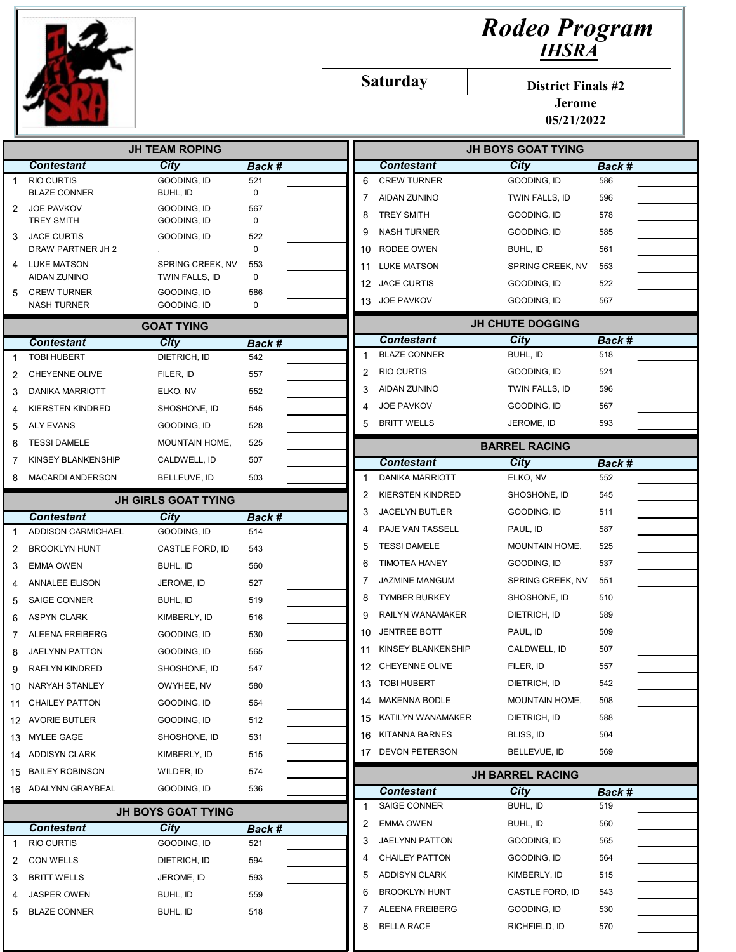

## Rodeo Program IHSRA

Saturday

District Finals #2

Jerome 05/21/2022

|    | <b>JH TEAM ROPING</b>                    |                            |                    |    |                         | <b>JH BOYS GOAT TYING</b> |                         |               |  |
|----|------------------------------------------|----------------------------|--------------------|----|-------------------------|---------------------------|-------------------------|---------------|--|
|    | <b>Contestant</b>                        | City                       | Back #             |    |                         | <b>Contestant</b>         | City                    | Back #        |  |
| 1  | <b>RIO CURTIS</b>                        | GOODING, ID                | 521                | 6  |                         | <b>CREW TURNER</b>        | <b>GOODING. ID</b>      | 586           |  |
|    | <b>BLAZE CONNER</b>                      | BUHL, ID                   | 0                  | 7  |                         | <b>AIDAN ZUNINO</b>       | TWIN FALLS, ID          | 596           |  |
| 2  | <b>JOE PAVKOV</b><br><b>TREY SMITH</b>   | GOODING, ID<br>GOODING, ID | 567<br>$\mathbf 0$ | 8  |                         | <b>TREY SMITH</b>         | GOODING, ID             | 578           |  |
| 3  | <b>JACE CURTIS</b>                       | GOODING, ID                | 522                | 9  |                         | <b>NASH TURNER</b>        | GOODING, ID             | 585           |  |
|    | DRAW PARTNER JH 2                        |                            | $\mathbf 0$        | 10 |                         | RODEE OWEN                | BUHL, ID                | 561           |  |
|    | <b>LUKE MATSON</b>                       | SPRING CREEK. NV           | 553                | 11 |                         | <b>LUKE MATSON</b>        | SPRING CREEK, NV        | 553           |  |
|    | AIDAN ZUNINO                             | TWIN FALLS, ID             | 0                  |    |                         | 12 JACE CURTIS            | GOODING, ID             | 522           |  |
| 5  | <b>CREW TURNER</b><br><b>NASH TURNER</b> | GOODING, ID<br>GOODING, ID | 586<br>0           | 13 |                         | <b>JOE PAVKOV</b>         | gooding, id             | 567           |  |
|    |                                          | <b>GOAT TYING</b>          |                    |    | <b>JH CHUTE DOGGING</b> |                           |                         |               |  |
|    | <b>Contestant</b>                        | City                       | Back #             |    |                         | <b>Contestant</b>         | City                    | Back #        |  |
|    | <b>TOBI HUBERT</b>                       | DIETRICH, ID               | 542                | 1  |                         | <b>BLAZE CONNER</b>       | BUHL, ID                | 518           |  |
| 2  | <b>CHEYENNE OLIVE</b>                    | FILER, ID                  | 557                | 2  |                         | <b>RIO CURTIS</b>         | GOODING, ID             | 521           |  |
| 3  | <b>DANIKA MARRIOTT</b>                   | ELKO, NV                   | 552                | 3  |                         | AIDAN ZUNINO              | TWIN FALLS, ID          | 596           |  |
|    | <b>KIERSTEN KINDRED</b>                  | SHOSHONE, ID               | 545                | 4  |                         | JOE PAVKOV                | GOODING, ID             | 567           |  |
| 5  | <b>ALY EVANS</b>                         | GOODING, ID                | 528                | 5  |                         | <b>BRITT WELLS</b>        | JEROME, ID              | 593           |  |
| 6  | <b>TESSI DAMELE</b>                      | MOUNTAIN HOME,             | 525                |    |                         |                           | <b>BARREL RACING</b>    |               |  |
| 7  | <b>KINSEY BLANKENSHIP</b>                | CALDWELL, ID               | 507                |    |                         | <b>Contestant</b>         | City                    |               |  |
| 8  | <b>MACARDI ANDERSON</b>                  | BELLEUVE, ID               | 503                | 1  |                         | <b>DANIKA MARRIOTT</b>    | ELKO, NV                | Back #<br>552 |  |
|    |                                          |                            |                    | 2  |                         | <b>KIERSTEN KINDRED</b>   | SHOSHONE, ID            | 545           |  |
|    |                                          | <b>JH GIRLS GOAT TYING</b> |                    | 3  |                         | <b>JACELYN BUTLER</b>     | GOODING, ID             | 511           |  |
|    | <b>Contestant</b>                        | City                       | Back #             | 4  |                         | PAJE VAN TASSELL          | PAUL, ID                | 587           |  |
|    | ADDISON CARMICHAEL                       | GOODING, ID                | 514                | 5  |                         | <b>TESSI DAMELE</b>       | <b>MOUNTAIN HOME,</b>   | 525           |  |
| 2  | <b>BROOKLYN HUNT</b>                     | CASTLE FORD, ID            | 543                | 6  |                         | <b>TIMOTEA HANEY</b>      | GOODING, ID             | 537           |  |
| 3  | <b>EMMA OWEN</b>                         | BUHL, ID                   | 560                |    |                         | JAZMINE MANGUM            | SPRING CREEK, NV        | 551           |  |
| 4  | <b>ANNALEE ELISON</b>                    | JEROME, ID                 | 527                | 7  |                         |                           |                         |               |  |
| 5  | <b>SAIGE CONNER</b>                      | BUHL, ID                   | 519                | 8  |                         | <b>TYMBER BURKEY</b>      | SHOSHONE, ID            | 510           |  |
| 6  | <b>ASPYN CLARK</b>                       | KIMBERLY, ID               | 516                | 9  |                         | RAILYN WANAMAKER          | DIETRICH, ID            | 589           |  |
|    | ALEENA FREIBERG                          | GOODING, ID                | 530                | 10 |                         | <b>JENTREE BOTT</b>       | PAUL, ID                | 509           |  |
|    | JAELYNN PATTON                           | GOODING, ID                | 565                | 11 |                         | KINSEY BLANKENSHIP        | CALDWELL, ID            | 507           |  |
| 9  | <b>RAELYN KINDRED</b>                    | SHOSHONE, ID               | 547                |    |                         | 12 CHEYENNE OLIVE         | FILER, ID               | 557           |  |
| 10 | NARYAH STANLEY                           | OWYHEE, NV                 | 580                | 13 |                         | <b>TOBI HUBERT</b>        | DIETRICH, ID            | 542           |  |
| 11 | <b>CHAILEY PATTON</b>                    | GOODING, ID                | 564                |    |                         | 14 MAKENNA BODLE          | MOUNTAIN HOME,          | 508           |  |
| 12 | <b>AVORIE BUTLER</b>                     | GOODING, ID                | 512                |    |                         | 15 KATILYN WANAMAKER      | DIETRICH, ID            | 588           |  |
| 13 | MYLEE GAGE                               | SHOSHONE, ID               | 531                |    |                         | 16 KITANNA BARNES         | BLISS, ID               | 504           |  |
| 14 | <b>ADDISYN CLARK</b>                     | KIMBERLY, ID               | 515                |    |                         | 17 DEVON PETERSON         | BELLEVUE, ID            | 569           |  |
| 15 | <b>BAILEY ROBINSON</b>                   | WILDER, ID                 | 574                |    |                         |                           | <b>JH BARREL RACING</b> |               |  |
|    | 16 ADALYNN GRAYBEAL                      | GOODING, ID                | 536                |    |                         | <b>Contestant</b>         | <b>City</b>             | Back #        |  |
|    |                                          | <b>JH BOYS GOAT TYING</b>  |                    | 1  |                         | SAIGE CONNER              | BUHL, ID                | 519           |  |
|    | <b>Contestant</b>                        | City                       | Back #             | 2  |                         | <b>EMMA OWEN</b>          | BUHL, ID                | 560           |  |
|    | <b>RIO CURTIS</b>                        | GOODING, ID                | 521                | 3  |                         | JAELYNN PATTON            | GOODING, ID             | 565           |  |
| 2  | <b>CON WELLS</b>                         | DIETRICH, ID               | 594                | 4  |                         | <b>CHAILEY PATTON</b>     | GOODING, ID             | 564           |  |
| 3  | <b>BRITT WELLS</b>                       | JEROME, ID                 | 593                | 5  |                         | <b>ADDISYN CLARK</b>      | KIMBERLY, ID            | 515           |  |
| 4  | <b>JASPER OWEN</b>                       | BUHL, ID                   | 559                | 6  |                         | <b>BROOKLYN HUNT</b>      | CASTLE FORD, ID         | 543           |  |
| 5  | <b>BLAZE CONNER</b>                      | BUHL, ID                   | 518                | 7  |                         | ALEENA FREIBERG           | GOODING, ID             | 530           |  |
|    |                                          |                            |                    | 8  |                         | <b>BELLA RACE</b>         | RICHFIELD, ID           | 570           |  |
|    |                                          |                            |                    |    |                         |                           |                         |               |  |